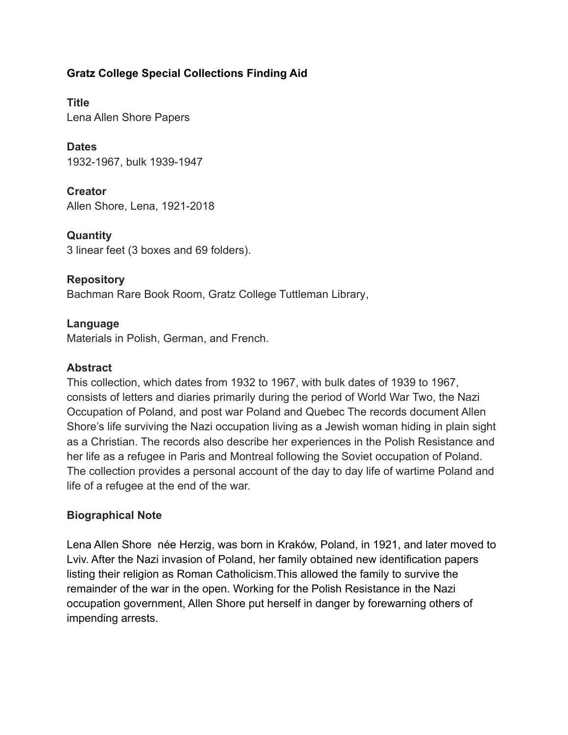# **Gratz College Special Collections Finding Aid**

**Title** Lena Allen Shore Papers

**Dates** 1932-1967, bulk 1939-1947

**Creator** Allen Shore, Lena, 1921-2018

**Quantity** 3 linear feet (3 boxes and 69 folders).

# **Repository**

Bachman Rare Book Room, Gratz College Tuttleman Library,

## **Language**

Materials in Polish, German, and French.

## **Abstract**

This collection, which dates from 1932 to 1967, with bulk dates of 1939 to 1967, consists of letters and diaries primarily during the period of World War Two, the Nazi Occupation of Poland, and post war Poland and Quebec The records document Allen Shore's life surviving the Nazi occupation living as a Jewish woman hiding in plain sight as a Christian. The records also describe her experiences in the Polish Resistance and her life as a refugee in Paris and Montreal following the Soviet occupation of Poland. The collection provides a personal account of the day to day life of wartime Poland and life of a refugee at the end of the war.

## **Biographical Note**

Lena Allen Shore née Herzig, was born in Kraków, Poland, in 1921, and later moved to Lviv. After the Nazi invasion of Poland, her family obtained new identification papers listing their religion as Roman Catholicism.This allowed the family to survive the remainder of the war in the open. Working for the Polish Resistance in the Nazi occupation government, Allen Shore put herself in danger by forewarning others of impending arrests.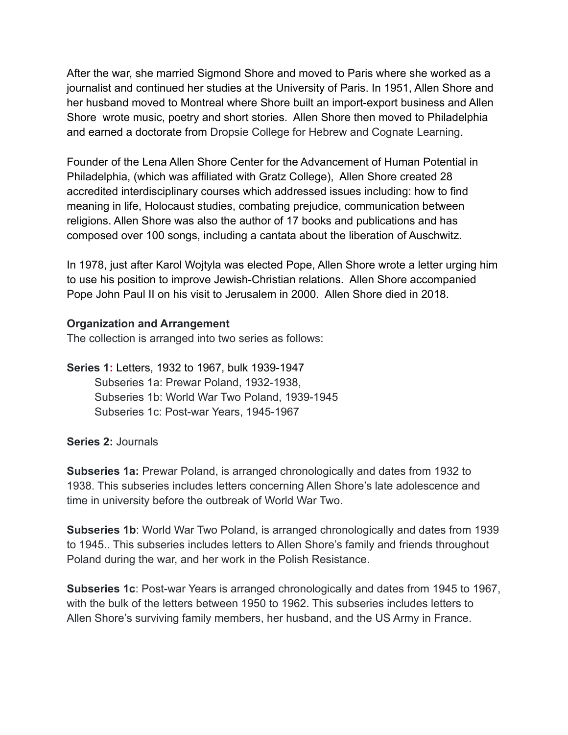After the war, she married Sigmond Shore and moved to Paris where she worked as a journalist and continued her studies at the University of Paris. In 1951, Allen Shore and her husband moved to Montreal where Shore built an import-export business and Allen Shore wrote music, poetry and short stories. Allen Shore then moved to Philadelphia and earned a doctorate from Dropsie College for Hebrew and Cognate Learning.

Founder of the Lena Allen Shore Center for the Advancement of Human Potential in Philadelphia, (which was affiliated with Gratz College), Allen Shore created 28 accredited interdisciplinary courses which addressed issues including: how to find meaning in life, Holocaust studies, combating prejudice, communication between religions. Allen Shore was also the author of 17 books and publications and has composed over 100 songs, including a cantata about the liberation of Auschwitz.

In 1978, just after Karol Wojtyla was elected Pope, Allen Shore wrote a letter urging him to use his position to improve Jewish-Christian relations. Allen Shore accompanied Pope John Paul II on his visit to Jerusalem in 2000. Allen Shore died in 2018.

### **Organization and Arrangement**

The collection is arranged into two series as follows:

**Series 1[:](https://library.temple.edu/scrc/abraham-l-freedman-papers-0)** Letters, 1932 to 1967, bulk 1939-1947 Subseries 1a: Prewar Poland, 1932-1938, Subseries 1b: World War Two Poland, 1939-1945 Subseries 1c: Post-war Years, 1945-1967

#### **Series 2:** Journals

**Subseries 1a:** Prewar Poland, is arranged chronologically and dates from 1932 to 1938. This subseries includes letters concerning Allen Shore's late adolescence and time in university before the outbreak of World War Two.

**Subseries 1b**: World War Two Poland, is arranged chronologically and dates from 1939 to 1945.. This subseries includes letters to Allen Shore's family and friends throughout Poland during the war, and her work in the Polish Resistance.

**Subseries 1c**: Post-war Years is arranged chronologically and dates from 1945 to 1967, with the bulk of the letters between 1950 to 1962. This subseries includes letters to Allen Shore's surviving family members, her husband, and the US Army in France.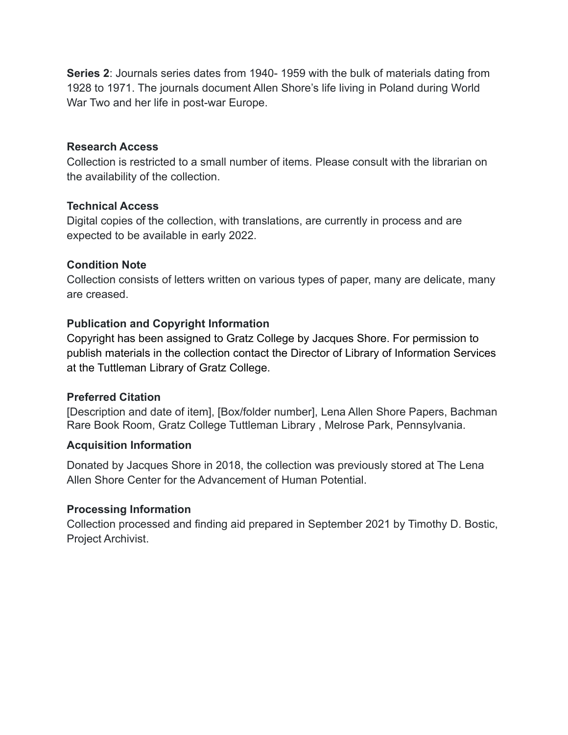**Series 2**[:](http://library.temple.edu/scrc/abraham-l-freedman-papers-1) Journals series dates from 1940- 1959 with the bulk of materials dating from 1928 to 1971. The journals document Allen Shore's life living in Poland during World War Two and her life in post-war Europe.

### **Research Access**

Collection is restricted to a small number of items. Please consult with the librarian on the availability of the collection.

### **Technical Access**

Digital copies of the collection, with translations, are currently in process and are expected to be available in early 2022.

### **Condition Note**

Collection consists of letters written on various types of paper, many are delicate, many are creased.

## **Publication and Copyright Information**

Copyright has been assigned to Gratz College by Jacques Shore. For permission to publish materials in the collection contact the Director of Library of Information Services at the Tuttleman Library of Gratz College.

## **Preferred Citation**

[Description and date of item], [Box/folder number], Lena Allen Shore Papers, Bachman Rare Book Room, Gratz College Tuttleman Library , Melrose Park, Pennsylvania.

#### **Acquisition Information**

Donated by Jacques Shore in 2018, the collection was previously stored at The Lena Allen Shore Center for the Advancement of Human Potential.

#### **Processing Information**

Collection processed and finding aid prepared in September 2021 by Timothy D. Bostic, Project Archivist.